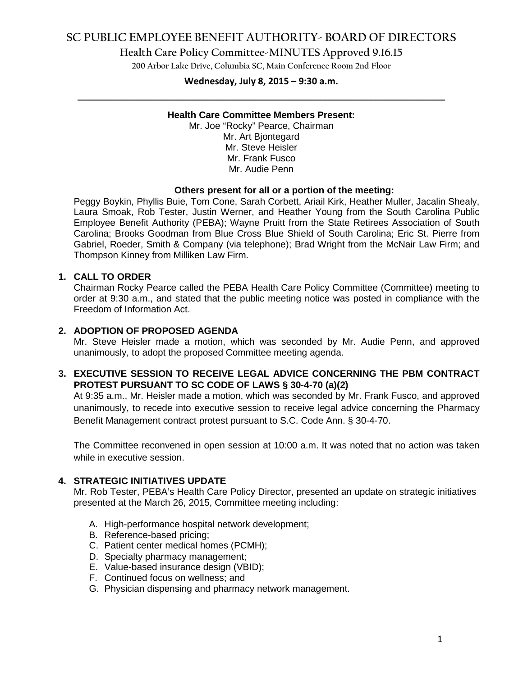## **SC PUBLIC EMPLOYEE BENEFIT AUTHORITY- BOARD OF DIRECTORS**

**Health Care Policy Committee-MINUTES Approved 9.16.15**

**200 Arbor Lake Drive, Columbia SC, Main Conference Room 2nd Floor**

# **Wednesday, July 8, 2015 – 9:30 a.m. \_\_\_\_\_\_\_\_\_\_\_\_\_\_\_\_\_\_\_\_\_\_\_\_\_\_\_\_\_\_\_\_\_\_\_\_\_\_\_\_\_\_\_\_\_\_\_\_\_\_\_\_\_\_\_\_\_\_\_\_\_\_\_\_\_\_\_\_\_\_\_\_**

#### **Health Care Committee Members Present:**

Mr. Joe "Rocky" Pearce, Chairman Mr. Art Bjontegard Mr. Steve Heisler Mr. Frank Fusco Mr. Audie Penn

#### **Others present for all or a portion of the meeting:**

Peggy Boykin, Phyllis Buie, Tom Cone, Sarah Corbett, Ariail Kirk, Heather Muller, Jacalin Shealy, Laura Smoak, Rob Tester, Justin Werner, and Heather Young from the South Carolina Public Employee Benefit Authority (PEBA); Wayne Pruitt from the State Retirees Association of South Carolina; Brooks Goodman from Blue Cross Blue Shield of South Carolina; Eric St. Pierre from Gabriel, Roeder, Smith & Company (via telephone); Brad Wright from the McNair Law Firm; and Thompson Kinney from Milliken Law Firm.

#### **1. CALL TO ORDER**

Chairman Rocky Pearce called the PEBA Health Care Policy Committee (Committee) meeting to order at 9:30 a.m., and stated that the public meeting notice was posted in compliance with the Freedom of Information Act.

### **2. ADOPTION OF PROPOSED AGENDA**

Mr. Steve Heisler made a motion, which was seconded by Mr. Audie Penn, and approved unanimously, to adopt the proposed Committee meeting agenda.

### **3. EXECUTIVE SESSION TO RECEIVE LEGAL ADVICE CONCERNING THE PBM CONTRACT PROTEST PURSUANT TO SC CODE OF LAWS § 30-4-70 (a)(2)**

At 9:35 a.m., Mr. Heisler made a motion, which was seconded by Mr. Frank Fusco, and approved unanimously, to recede into executive session to receive legal advice concerning the Pharmacy Benefit Management contract protest pursuant to S.C. Code Ann. § 30-4-70.

The Committee reconvened in open session at 10:00 a.m. It was noted that no action was taken while in executive session.

### **4. STRATEGIC INITIATIVES UPDATE**

Mr. Rob Tester, PEBA's Health Care Policy Director, presented an update on strategic initiatives presented at the March 26, 2015, Committee meeting including:

- A. High-performance hospital network development;
- B. Reference-based pricing;
- C. Patient center medical homes (PCMH);
- D. Specialty pharmacy management;
- E. Value-based insurance design (VBID);
- F. Continued focus on wellness; and
- G. Physician dispensing and pharmacy network management.